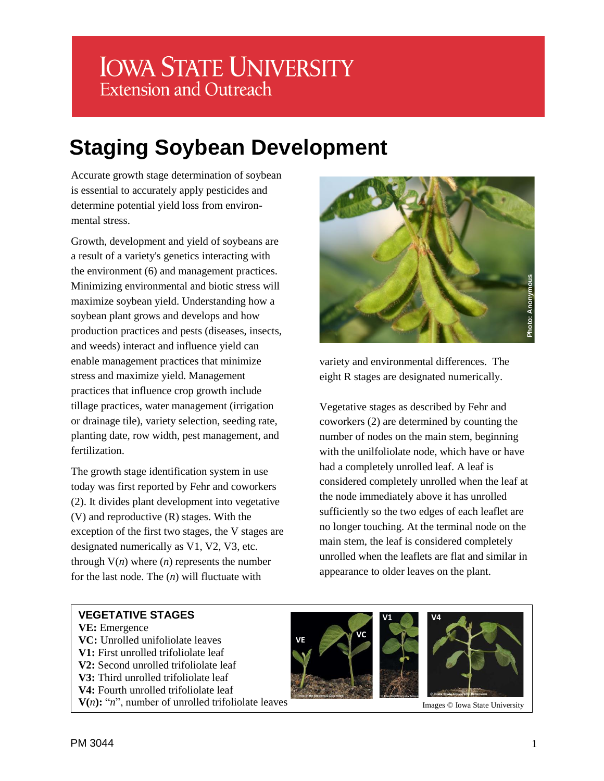## **IOWA STATE UNIVERSITY Extension and Outreach**

# **Staging Soybean Development**

Accurate growth stage determination of soybean is essential to accurately apply pesticides and determine potential yield loss from environmental stress.

Growth, development and yield of soybeans are a result of a variety's genetics interacting with the environment (6) and management practices. Minimizing environmental and biotic stress will maximize soybean yield. Understanding how a soybean plant grows and develops and how production practices and pests (diseases, insects, and weeds) interact and influence yield can enable management practices that minimize stress and maximize yield. Management practices that influence crop growth include tillage practices, water management (irrigation or drainage tile), variety selection, seeding rate, planting date, row width, pest management, and fertilization.

The growth stage identification system in use today was first reported by Fehr and coworkers (2). It divides plant development into vegetative (V) and reproductive (R) stages. With the exception of the first two stages, the V stages are designated numerically as V1, V2, V3, etc. through  $V(n)$  where  $(n)$  represents the number for the last node. The (*n*) will fluctuate with



variety and environmental differences. The eight R stages are designated numerically.

Vegetative stages as described by Fehr and coworkers (2) are determined by counting the number of nodes on the main stem, beginning with the unilfoliolate node, which have or have had a completely unrolled leaf. A leaf is considered completely unrolled when the leaf at the node immediately above it has unrolled sufficiently so the two edges of each leaflet are no longer touching. At the terminal node on the main stem, the leaf is considered completely unrolled when the leaflets are flat and similar in appearance to older leaves on the plant.

#### **VEGETATIVE STAGES**

**VE:** Emergence **VC:** Unrolled unifoliolate leaves **V1:** First unrolled trifoliolate leaf **V2:** Second unrolled trifoliolate leaf **V3:** Third unrolled trifoliolate leaf **V4:** Fourth unrolled trifoliolate leaf  $V(n)$ : "*n*", number of unrolled trifoliolate leaves





Images © Iowa State University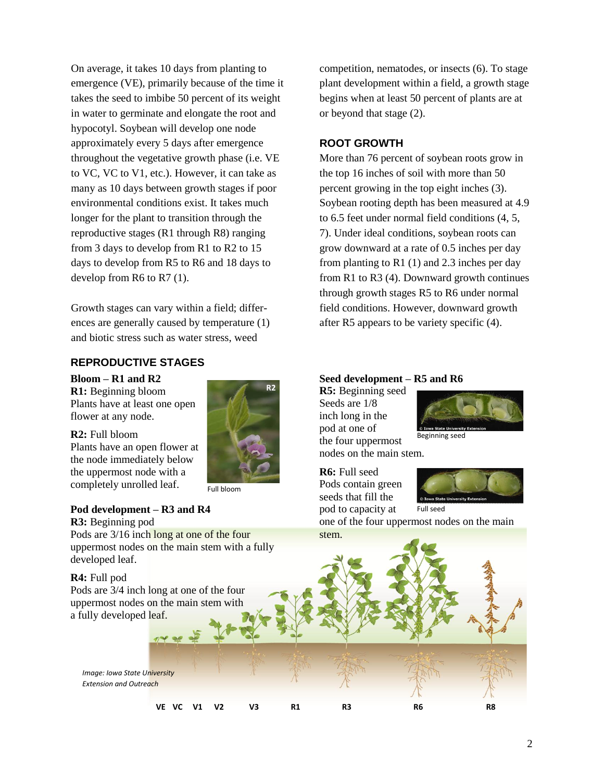On average, it takes 10 days from planting to emergence (VE), primarily because of the time it takes the seed to imbibe 50 percent of its weight in water to germinate and elongate the root and hypocotyl. Soybean will develop one node approximately every 5 days after emergence throughout the vegetative growth phase (i.e. VE to VC, VC to V1, etc.). However, it can take as many as 10 days between growth stages if poor environmental conditions exist. It takes much longer for the plant to transition through the reproductive stages (R1 through R8) ranging from 3 days to develop from R1 to R2 to 15 days to develop from R5 to R6 and 18 days to develop from R6 to R7 (1).

Growth stages can vary within a field; differences are generally caused by temperature (1) and biotic stress such as water stress, weed

#### **REPRODUCTIVE STAGES**

### **Bloom – R1 and R2**

**R1:** Beginning bloom Plants have at least one open flower at any node.

**R2:** Full bloom Plants have an open flower at the node immediately below the uppermost node with a completely unrolled leaf.



#### Full bloom

#### **Pod development – R3 and R4 R3:** Beginning pod

Pods are 3/16 inch long at one of the four uppermost nodes on the main stem with a fully developed leaf.

**R4:** Full pod

Pods are 3/4 inch long at one of the four uppermost nodes on the main stem with a fully developed leaf.

*Image: Iowa State University Extension and Outreach*

competition, nematodes, or insects (6). To stage plant development within a field, a growth stage begins when at least 50 percent of plants are at or beyond that stage (2).

#### **ROOT GROWTH**

More than 76 percent of soybean roots grow in the top 16 inches of soil with more than 50 percent growing in the top eight inches (3). Soybean rooting depth has been measured at 4.9 to 6.5 feet under normal field conditions (4, 5, 7). Under ideal conditions, soybean roots can grow downward at a rate of 0.5 inches per day from planting to R1 $(1)$  and 2.3 inches per day from R1 to R3 (4). Downward growth continues through growth stages R5 to R6 under normal field conditions. However, downward growth after R5 appears to be variety specific (4).

#### **Seed development – R5 and R6**

**R5:** Beginning seed Seeds are 1/8 inch long in the pod at one of the four uppermost



Beginning seed

nodes on the main stem.

**R6:** Full seed Pods contain green seeds that fill the pod to capacity at



one of the four uppermost nodes on the main stem.

**VE VC V1 V2 V3 R1 R3 R6 R8**